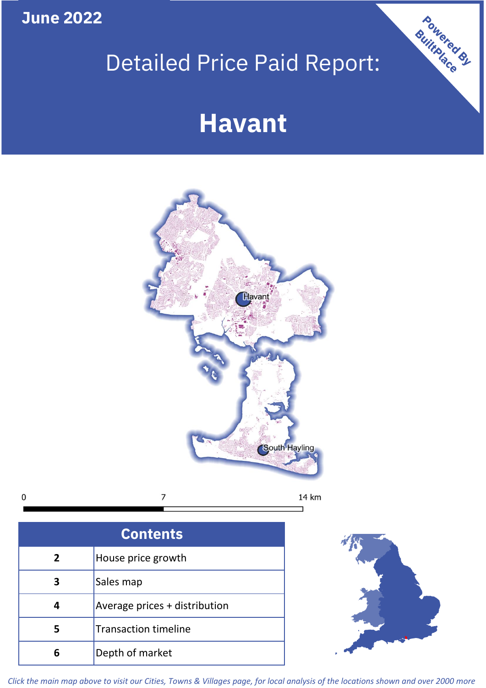**June 2022**

 $\mathbf 0$ 

# Detailed Price Paid Report:

## **Havant**



| <b>Contents</b> |                               |  |  |
|-----------------|-------------------------------|--|--|
| 2               | House price growth            |  |  |
|                 | Sales map                     |  |  |
|                 | Average prices + distribution |  |  |
| 5               | <b>Transaction timeline</b>   |  |  |
| 6               | Depth of market               |  |  |



Powered By

*Click the main map above to visit our Cities, Towns & Villages page, for local analysis of the locations shown and over 2000 more*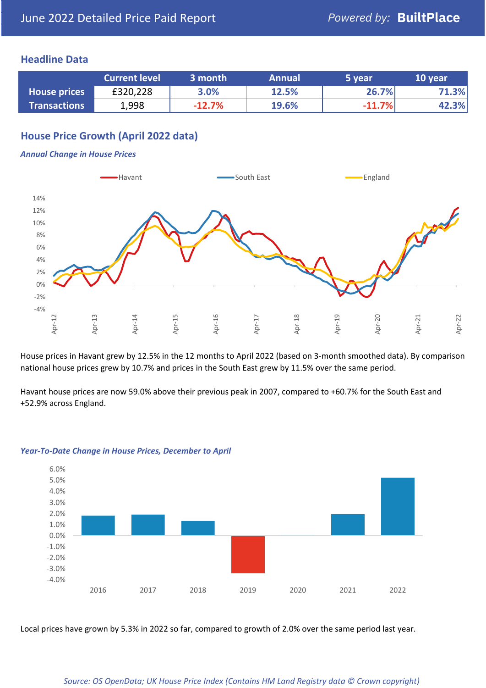## **Headline Data**

|                     | <b>Current level</b> | 3 month  | <b>Annual</b> | '5 year  | 10 year |
|---------------------|----------------------|----------|---------------|----------|---------|
| <b>House prices</b> | £320,228             | 3.0%     | 12.5%         | 26.7%    | 71.3%   |
| <b>Transactions</b> | 1,998                | $-12.7%$ | 19.6%         | $-11.7%$ | 42.3%   |

## **House Price Growth (April 2022 data)**

#### *Annual Change in House Prices*



House prices in Havant grew by 12.5% in the 12 months to April 2022 (based on 3-month smoothed data). By comparison national house prices grew by 10.7% and prices in the South East grew by 11.5% over the same period.

Havant house prices are now 59.0% above their previous peak in 2007, compared to +60.7% for the South East and +52.9% across England.



#### *Year-To-Date Change in House Prices, December to April*

Local prices have grown by 5.3% in 2022 so far, compared to growth of 2.0% over the same period last year.

#### *Source: OS OpenData; UK House Price Index (Contains HM Land Registry data © Crown copyright)*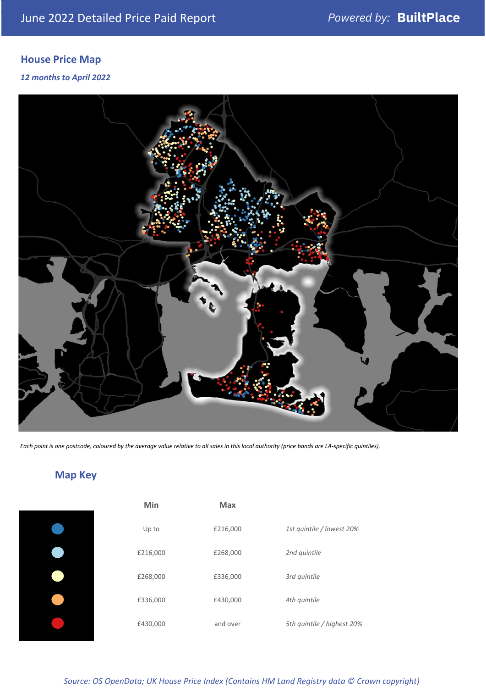## **House Price Map**

*12 months to April 2022*



*Each point is one postcode, coloured by the average value relative to all sales in this local authority (price bands are LA-specific quintiles).*

## **Map Key**

| Min      | Max      |                            |
|----------|----------|----------------------------|
| Up to    | £216,000 | 1st quintile / lowest 20%  |
| £216,000 | £268,000 | 2nd quintile               |
| £268,000 | £336,000 | 3rd quintile               |
| £336,000 | £430,000 | 4th quintile               |
| £430,000 | and over | 5th quintile / highest 20% |

*Source: OS OpenData; UK House Price Index (Contains HM Land Registry data © Crown copyright)*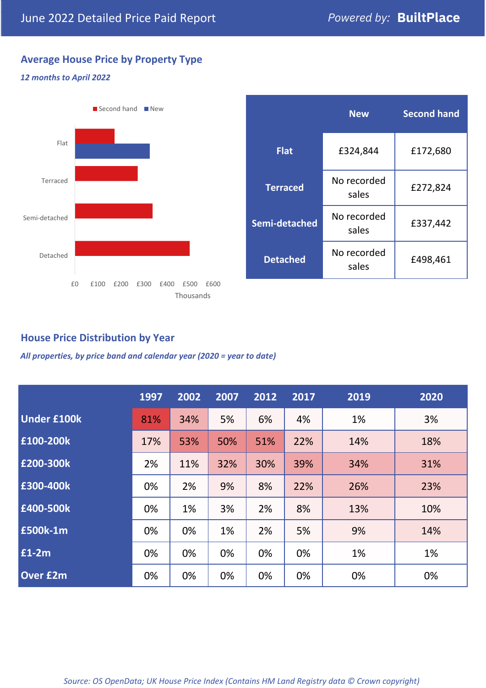## **Average House Price by Property Type**

#### *12 months to April 2022*



|                 | <b>New</b>           | <b>Second hand</b> |  |  |
|-----------------|----------------------|--------------------|--|--|
| <b>Flat</b>     | £324,844             | £172,680           |  |  |
| <b>Terraced</b> | No recorded<br>sales | £272,824           |  |  |
| Semi-detached   | No recorded<br>sales | £337,442           |  |  |
| <b>Detached</b> | No recorded<br>sales | £498,461           |  |  |

## **House Price Distribution by Year**

*All properties, by price band and calendar year (2020 = year to date)*

|                    | 1997 | 2002 | 2007 | 2012 | 2017 | 2019 | 2020 |
|--------------------|------|------|------|------|------|------|------|
| <b>Under £100k</b> | 81%  | 34%  | 5%   | 6%   | 4%   | 1%   | 3%   |
| £100-200k          | 17%  | 53%  | 50%  | 51%  | 22%  | 14%  | 18%  |
| £200-300k          | 2%   | 11%  | 32%  | 30%  | 39%  | 34%  | 31%  |
| £300-400k          | 0%   | 2%   | 9%   | 8%   | 22%  | 26%  | 23%  |
| £400-500k          | 0%   | 1%   | 3%   | 2%   | 8%   | 13%  | 10%  |
| <b>£500k-1m</b>    | 0%   | 0%   | 1%   | 2%   | 5%   | 9%   | 14%  |
| £1-2m              | 0%   | 0%   | 0%   | 0%   | 0%   | 1%   | 1%   |
| <b>Over £2m</b>    | 0%   | 0%   | 0%   | 0%   | 0%   | 0%   | 0%   |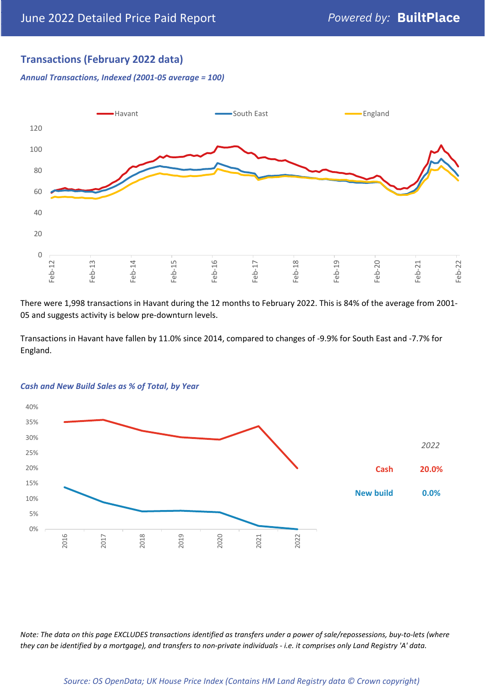## **Transactions (February 2022 data)**

*Annual Transactions, Indexed (2001-05 average = 100)*



There were 1,998 transactions in Havant during the 12 months to February 2022. This is 84% of the average from 2001- 05 and suggests activity is below pre-downturn levels.

Transactions in Havant have fallen by 11.0% since 2014, compared to changes of -9.9% for South East and -7.7% for England.



#### *Cash and New Build Sales as % of Total, by Year*

*Note: The data on this page EXCLUDES transactions identified as transfers under a power of sale/repossessions, buy-to-lets (where they can be identified by a mortgage), and transfers to non-private individuals - i.e. it comprises only Land Registry 'A' data.*